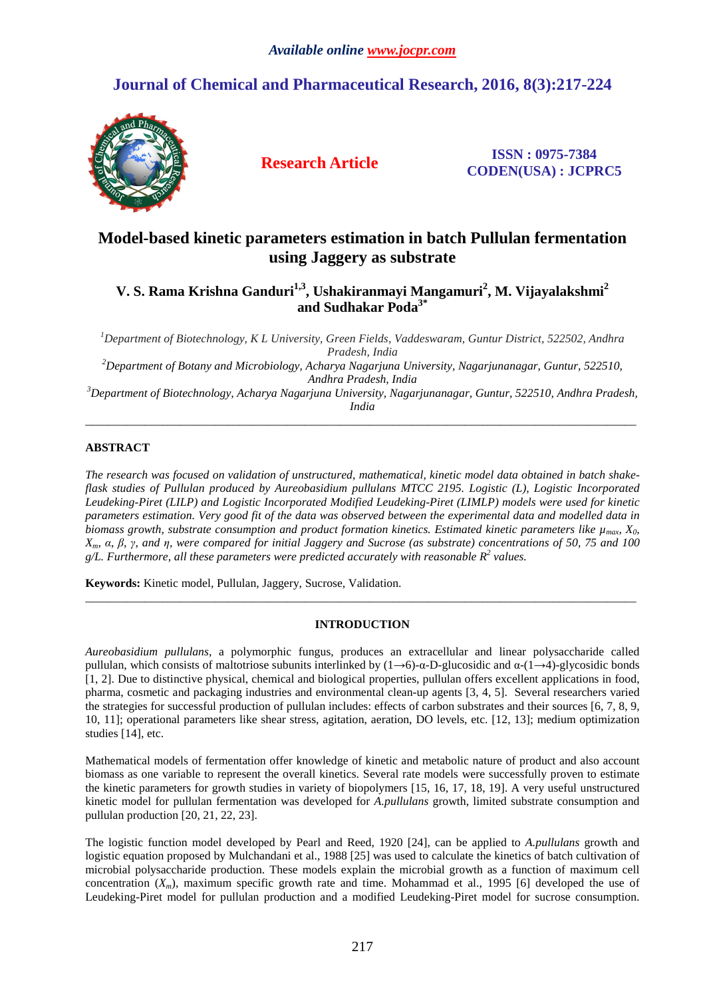# **Journal of Chemical and Pharmaceutical Research, 2016, 8(3):217-224**



**Research Article ISSN : 0975-7384 CODEN(USA) : JCPRC5**

## **Model-based kinetic parameters estimation in batch Pullulan fermentation using Jaggery as substrate**

**V. S. Rama Krishna Ganduri1,3, Ushakiranmayi Mangamuri<sup>2</sup> , M. Vijayalakshmi<sup>2</sup> and Sudhakar Poda3\*** 

*<sup>1</sup>Department of Biotechnology, K L University, Green Fields, Vaddeswaram, Guntur District, 522502, Andhra Pradesh, India* 

*<sup>2</sup>Department of Botany and Microbiology, Acharya Nagarjuna University, Nagarjunanagar, Guntur, 522510, Andhra Pradesh, India* 

*<sup>3</sup>Department of Biotechnology, Acharya Nagarjuna University, Nagarjunanagar, Guntur, 522510, Andhra Pradesh, India*  \_\_\_\_\_\_\_\_\_\_\_\_\_\_\_\_\_\_\_\_\_\_\_\_\_\_\_\_\_\_\_\_\_\_\_\_\_\_\_\_\_\_\_\_\_\_\_\_\_\_\_\_\_\_\_\_\_\_\_\_\_\_\_\_\_\_\_\_\_\_\_\_\_\_\_\_\_\_\_\_\_\_\_\_\_\_\_\_\_\_\_\_\_

## **ABSTRACT**

*The research was focused on validation of unstructured, mathematical, kinetic model data obtained in batch shakeflask studies of Pullulan produced by Aureobasidium pullulans MTCC 2195. Logistic (L), Logistic Incorporated Leudeking-Piret (LILP) and Logistic Incorporated Modified Leudeking-Piret (LIMLP) models were used for kinetic parameters estimation. Very good fit of the data was observed between the experimental data and modelled data in biomass growth, substrate consumption and product formation kinetics. Estimated kinetic parameters like µmax, X0, Xm, α, β, γ, and η, were compared for initial Jaggery and Sucrose (as substrate) concentrations of 50, 75 and 100*   $g/L$ . Furthermore, all these parameters were predicted accurately with reasonable  $R^2$  values.

**Keywords:** Kinetic model, Pullulan, Jaggery, Sucrose, Validation.

## **INTRODUCTION**

\_\_\_\_\_\_\_\_\_\_\_\_\_\_\_\_\_\_\_\_\_\_\_\_\_\_\_\_\_\_\_\_\_\_\_\_\_\_\_\_\_\_\_\_\_\_\_\_\_\_\_\_\_\_\_\_\_\_\_\_\_\_\_\_\_\_\_\_\_\_\_\_\_\_\_\_\_\_\_\_\_\_\_\_\_\_\_\_\_\_\_\_\_

*Aureobasidium pullulans*, a polymorphic fungus, produces an extracellular and linear polysaccharide called pullulan, which consists of maltotriose subunits interlinked by  $(1\rightarrow6)$ -α-D-glucosidic and α- $(1\rightarrow4)$ -glycosidic bonds [1, 2]. Due to distinctive physical, chemical and biological properties, pullulan offers excellent applications in food, pharma, cosmetic and packaging industries and environmental clean-up agents [3, 4, 5]. Several researchers varied the strategies for successful production of pullulan includes: effects of carbon substrates and their sources [6, 7, 8, 9, 10, 11]; operational parameters like shear stress, agitation, aeration, DO levels, etc. [12, 13]; medium optimization studies [14], etc.

Mathematical models of fermentation offer knowledge of kinetic and metabolic nature of product and also account biomass as one variable to represent the overall kinetics. Several rate models were successfully proven to estimate the kinetic parameters for growth studies in variety of biopolymers [15, 16, 17, 18, 19]. A very useful unstructured kinetic model for pullulan fermentation was developed for *A.pullulans* growth, limited substrate consumption and pullulan production [20, 21, 22, 23].

The logistic function model developed by Pearl and Reed, 1920 [24], can be applied to *A.pullulans* growth and logistic equation proposed by Mulchandani et al., 1988 [25] was used to calculate the kinetics of batch cultivation of microbial polysaccharide production. These models explain the microbial growth as a function of maximum cell concentration  $(X_m)$ , maximum specific growth rate and time. Mohammad et al., 1995 [6] developed the use of Leudeking-Piret model for pullulan production and a modified Leudeking-Piret model for sucrose consumption.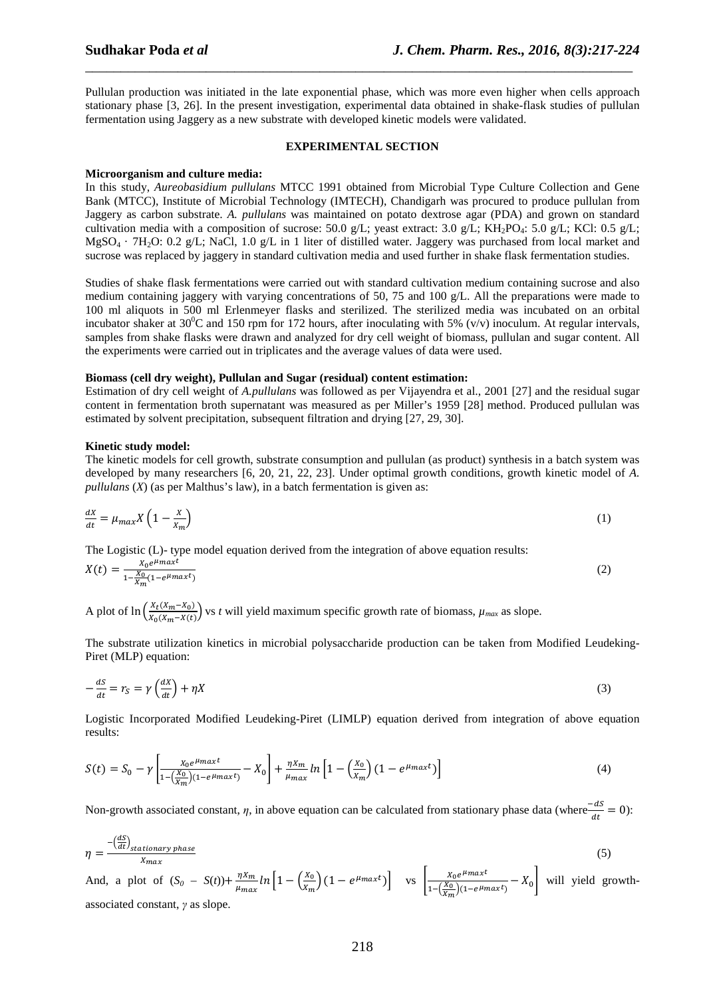Pullulan production was initiated in the late exponential phase, which was more even higher when cells approach stationary phase [3, 26]. In the present investigation, experimental data obtained in shake-flask studies of pullulan fermentation using Jaggery as a new substrate with developed kinetic models were validated.

\_\_\_\_\_\_\_\_\_\_\_\_\_\_\_\_\_\_\_\_\_\_\_\_\_\_\_\_\_\_\_\_\_\_\_\_\_\_\_\_\_\_\_\_\_\_\_\_\_\_\_\_\_\_\_\_\_\_\_\_\_\_\_\_\_\_\_\_\_\_\_\_\_\_\_\_\_

## **EXPERIMENTAL SECTION**

## **Microorganism and culture media:**

In this study, *Aureobasidium pullulans* MTCC 1991 obtained from Microbial Type Culture Collection and Gene Bank (MTCC), Institute of Microbial Technology (IMTECH), Chandigarh was procured to produce pullulan from Jaggery as carbon substrate. *A. pullulans* was maintained on potato dextrose agar (PDA) and grown on standard cultivation media with a composition of sucrose: 50.0 g/L; yeast extract: 3.0 g/L; KH<sub>2</sub>PO<sub>4</sub>: 5.0 g/L; KCl: 0.5 g/L;  $MgSO_4$  · 7H<sub>2</sub>O: 0.2 g/L; NaCl, 1.0 g/L in 1 liter of distilled water. Jaggery was purchased from local market and sucrose was replaced by jaggery in standard cultivation media and used further in shake flask fermentation studies.

Studies of shake flask fermentations were carried out with standard cultivation medium containing sucrose and also medium containing jaggery with varying concentrations of 50, 75 and 100 g/L. All the preparations were made to 100 ml aliquots in 500 ml Erlenmeyer flasks and sterilized. The sterilized media was incubated on an orbital incubator shaker at  $30^0C$  and 150 rpm for 172 hours, after inoculating with 5% (v/v) inoculum. At regular intervals, samples from shake flasks were drawn and analyzed for dry cell weight of biomass, pullulan and sugar content. All the experiments were carried out in triplicates and the average values of data were used.

## **Biomass (cell dry weight), Pullulan and Sugar (residual) content estimation:**

Estimation of dry cell weight of *A.pullulans* was followed as per Vijayendra et al., 2001 [27] and the residual sugar content in fermentation broth supernatant was measured as per Miller's 1959 [28] method. Produced pullulan was estimated by solvent precipitation, subsequent filtration and drying [27, 29, 30].

## **Kinetic study model:**

The kinetic models for cell growth, substrate consumption and pullulan (as product) synthesis in a batch system was developed by many researchers [6, 20, 21, 22, 23]. Under optimal growth conditions, growth kinetic model of *A. pullulans* (*X*) (as per Malthus's law), in a batch fermentation is given as:

$$
\frac{dx}{dt} = \mu_{max} X \left( 1 - \frac{x}{x_m} \right) \tag{1}
$$

The Logistic (L)- type model equation derived from the integration of above equation results:

$$
X(t) = \frac{X_0 e^{\mu_{max}t}}{1 - \frac{X_0}{X_m}(1 - e^{\mu_{max}t})}
$$
(2)

A plot of  $\ln \left( \frac{X_t(X_m - X_0)}{X_0(X_m - X(t))} \right)$  $\frac{\Delta t(\Delta m - \Delta_0)}{\Delta t(\Delta m - X(t))}$  vs *t* will yield maximum specific growth rate of biomass,  $\mu_{max}$  as slope.

The substrate utilization kinetics in microbial polysaccharide production can be taken from Modified Leudeking-Piret (MLP) equation:

$$
-\frac{dS}{dt} = r_S = \gamma \left(\frac{dX}{dt}\right) + \eta X\tag{3}
$$

Logistic Incorporated Modified Leudeking-Piret (LIMLP) equation derived from integration of above equation results:

$$
S(t) = S_0 - \gamma \left[ \frac{X_0 e^{\mu_{max}t}}{1 - (\frac{X_0}{X_m})(1 - e^{\mu_{max}t})} - X_0 \right] + \frac{\eta X_m}{\mu_{max}} \ln \left[ 1 - (\frac{X_0}{X_m})(1 - e^{\mu_{max}t}) \right]
$$
(4)

Non-growth associated constant,  $\eta$ , in above equation can be calculated from stationary phase data (where $\frac{-ds}{dt} = 0$ ):

$$
\eta = \frac{-\left(\frac{dS}{dt}\right)_{stationary phase}}{X_{max}}
$$
(5)

And, a plot of  $(S_0 - S(t)) + \frac{\eta X_m}{\eta_{\text{max}}}$  $\frac{\eta X_m}{\mu_{max}} ln \left[ 1 - \left( \frac{X_0}{X_m} \right) \right]$  $\left[\frac{X_0}{X_m}\right)(1 - e^{\mu_{max}t})\right]$  vs  $\left[\frac{X_0e^{\mu_{max}t}}{1 - \left(\frac{X_0}{X_m}\right)(1 - e^{\mu_n})} \right]$  $\frac{X_0 e^{x_0} \sinh x}{1 - (\frac{X_0}{X_m})(1 - e^{\mu m a x^t})} - X_0$  will yield growthassociated constant, *γ* as slope.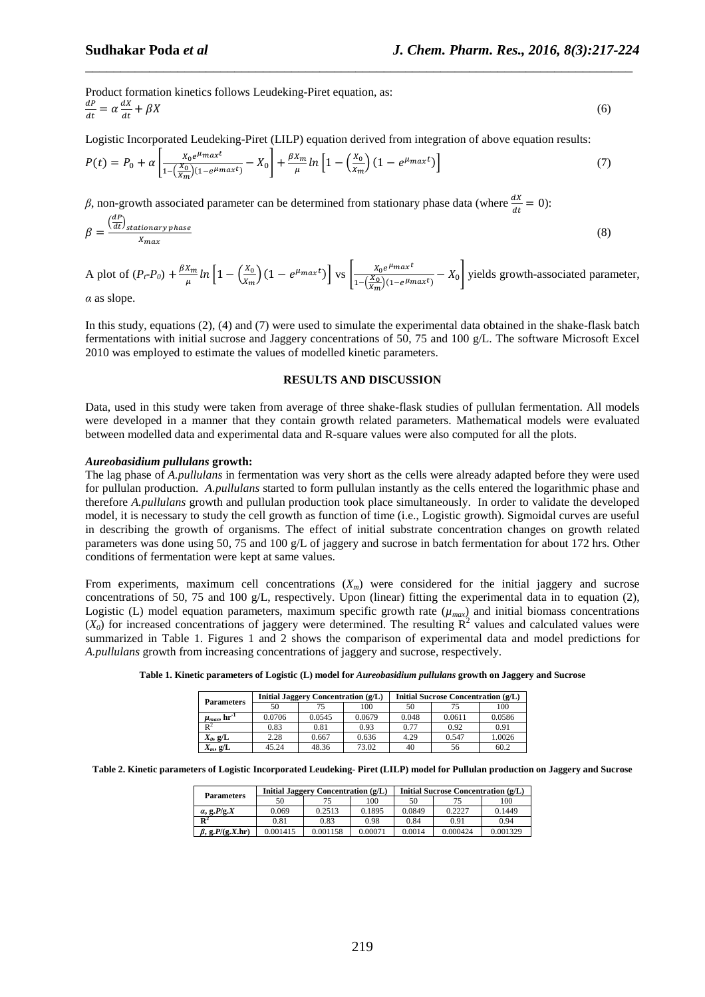Product formation kinetics follows Leudeking-Piret equation, as:  $dP$  $\frac{dP}{dt} = \alpha \frac{dX}{dt}$  $+ \beta X$  (6)

Logistic Incorporated Leudeking-Piret (LILP) equation derived from integration of above equation results:

$$
P(t) = P_0 + \alpha \left[ \frac{X_0 e^{\mu_{max} t}}{1 - (\frac{X_0}{X_m})(1 - e^{\mu_{max} t})} - X_0 \right] + \frac{\beta X_m}{\mu} \ln \left[ 1 - (\frac{X_0}{X_m})(1 - e^{\mu_{max} t}) \right]
$$
(7)

\_\_\_\_\_\_\_\_\_\_\_\_\_\_\_\_\_\_\_\_\_\_\_\_\_\_\_\_\_\_\_\_\_\_\_\_\_\_\_\_\_\_\_\_\_\_\_\_\_\_\_\_\_\_\_\_\_\_\_\_\_\_\_\_\_\_\_\_\_\_\_\_\_\_\_\_\_

*β*, non-growth associated parameter can be determined from stationary phase data (where  $\frac{dX}{dt} = 0$ ):

$$
\beta = \frac{\left(\frac{dP}{dt}\right)_{stationary phase}}{X_{max}}
$$
(8)

A plot of  $(P_t-P_0) + \frac{\beta X_m}{n}$  $\frac{X_m}{\mu}$  ln  $\left[1 - \left(\frac{X_0}{X_m}\right)\right]$  $\left[\frac{X_0}{X_m}\right)(1 - e^{\mu_{max}t})\right]$  vs  $\left[\frac{X_0 e^{\mu_{max}t}}{1 - \left(\frac{X_0}{X_m}\right)(1 - e^{\mu_n t})} \right]$  $\frac{x_0 e^{x_0}}{1 - (\frac{X_0}{X_m})(1 - e^{\mu_{max}t})} - X_0$  yields growth-associated parameter,

*α* as slope.

In this study, equations (2), (4) and (7) were used to simulate the experimental data obtained in the shake-flask batch fermentations with initial sucrose and Jaggery concentrations of 50, 75 and 100 g/L. The software Microsoft Excel 2010 was employed to estimate the values of modelled kinetic parameters.

#### **RESULTS AND DISCUSSION**

Data, used in this study were taken from average of three shake-flask studies of pullulan fermentation. All models were developed in a manner that they contain growth related parameters. Mathematical models were evaluated between modelled data and experimental data and R-square values were also computed for all the plots.

#### *Aureobasidium pullulans* **growth:**

The lag phase of *A.pullulans* in fermentation was very short as the cells were already adapted before they were used for pullulan production. *A.pullulans* started to form pullulan instantly as the cells entered the logarithmic phase and therefore *A.pullulans* growth and pullulan production took place simultaneously. In order to validate the developed model, it is necessary to study the cell growth as function of time (i.e., Logistic growth). Sigmoidal curves are useful in describing the growth of organisms. The effect of initial substrate concentration changes on growth related parameters was done using 50, 75 and 100 g/L of jaggery and sucrose in batch fermentation for about 172 hrs. Other conditions of fermentation were kept at same values.

From experiments, maximum cell concentrations  $(X<sub>m</sub>)$  were considered for the initial jaggery and sucrose concentrations of 50, 75 and 100 g/L, respectively. Upon (linear) fitting the experimental data in to equation (2), Logistic (L) model equation parameters, maximum specific growth rate  $(\mu_{max})$  and initial biomass concentrations  $(X_0)$  for increased concentrations of jaggery were determined. The resulting  $\mathbb{R}^2$  values and calculated values were summarized in Table 1. Figures 1 and 2 shows the comparison of experimental data and model predictions for *A.pullulans* growth from increasing concentrations of jaggery and sucrose, respectively.

| Table 1. Kinetic parameters of Logistic (L) model for <i>Aureobasidium pullulans</i> growth on Jaggery and Sucrose<br>Initial Sucrose Concentration (g/L)<br>Initial Jaggery Concentration (g/L)<br><b>Parameters</b> |  |  |  |     |    |  |     |  |  |  |
|-----------------------------------------------------------------------------------------------------------------------------------------------------------------------------------------------------------------------|--|--|--|-----|----|--|-----|--|--|--|
|                                                                                                                                                                                                                       |  |  |  |     |    |  |     |  |  |  |
|                                                                                                                                                                                                                       |  |  |  | 100 | 50 |  | 100 |  |  |  |

| <b>Parameters</b>              | -------- --- <sub>55</sub> -- |        | $\sim$ $\sim$ $\sim$ $\sim$ $\sim$ $\sim$ $\sim$ $\sim$ | $r_{\rm{eff}}$ $\sim$ $r_{\rm{tot}}$ $\sim$ $r_{\rm{eff}}$ $\sim$ $r_{\rm{eff}}$ $\sim$ $r_{\rm{eff}}$ |        |        |  |  |  |
|--------------------------------|-------------------------------|--------|---------------------------------------------------------|--------------------------------------------------------------------------------------------------------|--------|--------|--|--|--|
|                                | 50                            |        | 100                                                     | 50                                                                                                     | 75     | 100    |  |  |  |
| $\mu_{max}$ , hr <sup>-1</sup> | 0.0706                        | 0.0545 | 0.0679                                                  | 0.048                                                                                                  | 0.0611 | 0.0586 |  |  |  |
| $\mathbf{R}^2$                 | 0.83                          | 0.81   | 0.93                                                    | 0.77                                                                                                   | 0.92   | 0.91   |  |  |  |
| $X_0$ , g/L                    | 2.28                          | 0.667  | 0.636                                                   | 4.29                                                                                                   | 0.547  | 1.0026 |  |  |  |
| $X_m$ , g/L                    | 45.24                         | 48.36  | 73.02                                                   | 40                                                                                                     | 56     | 60.2   |  |  |  |

**Table 2. Kinetic parameters of Logistic Incorporated Leudeking- Piret (LILP) model for Pullulan production on Jaggery and Sucrose** 

| <b>Parameters</b>         |          | <b>Initial Jaggery Concentration (g/L)</b> |         | Initial Sucrose Concentration (g/L) |          |          |  |  |
|---------------------------|----------|--------------------------------------------|---------|-------------------------------------|----------|----------|--|--|
|                           | 50       |                                            | 100     | 50                                  |          | 100      |  |  |
| $\alpha$ , g.P/g.X        | 0.069    | 0.2513                                     |         | 0.0849                              | 0.2227   | 0.1449   |  |  |
| $\mathbf{R}^2$            | 0.81     | 0.83                                       | 0.98    | 0.84                                | 0.91     | 0.94     |  |  |
| $\beta$ , g. $P/(g.X.hr)$ | 0.001415 | 0.001158                                   | 0.00071 | 0.0014                              | 0.000424 | 0.001329 |  |  |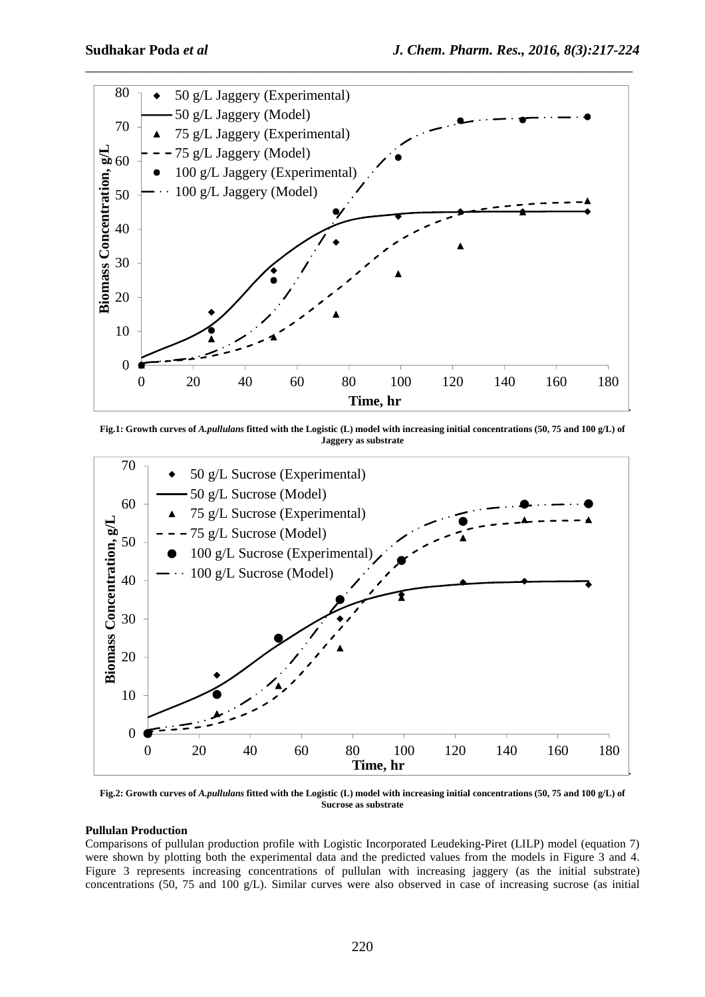

**Fig.1: Growth curves of** *A.pullulans* **fitted with the Logistic (L) model with increasing initial concentrations (50, 75 and 100 g/L) of Jaggery as substrate** 



**Fig.2: Growth curves of** *A.pullulans* **fitted with the Logistic (L) model with increasing initial concentrations (50, 75 and 100 g/L) of Sucrose as substrate** 

## **Pullulan Production**

Comparisons of pullulan production profile with Logistic Incorporated Leudeking-Piret (LILP) model (equation 7) were shown by plotting both the experimental data and the predicted values from the models in Figure 3 and 4. Figure 3 represents increasing concentrations of pullulan with increasing jaggery (as the initial substrate) concentrations (50, 75 and 100 g/L). Similar curves were also observed in case of increasing sucrose (as initial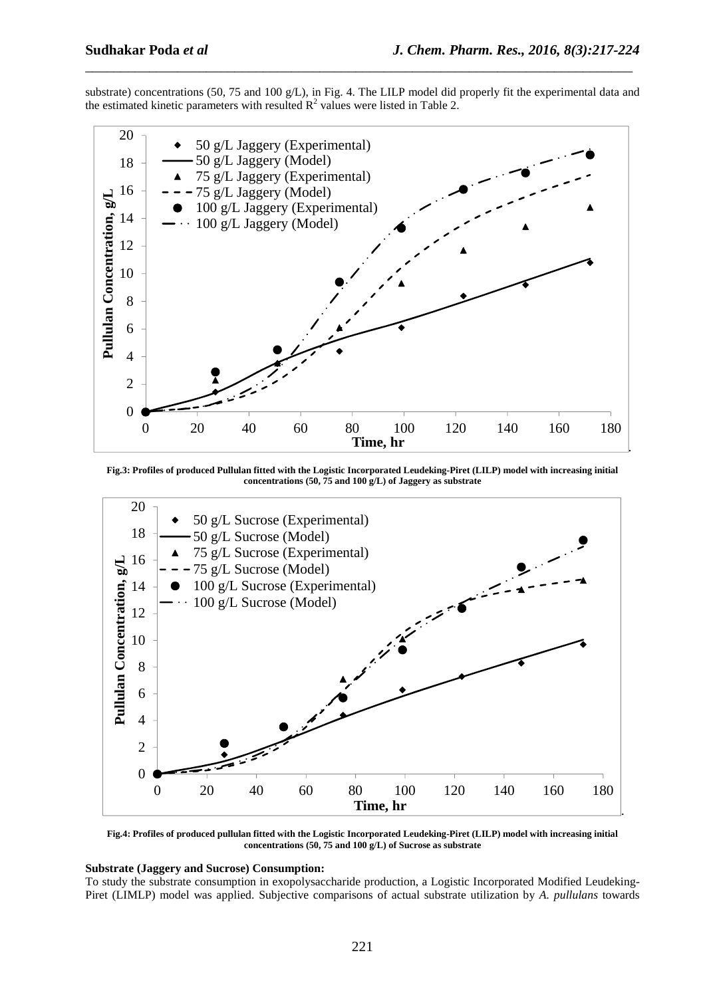substrate) concentrations (50, 75 and 100 g/L), in Fig. 4. The LILP model did properly fit the experimental data and the estimated kinetic parameters with resulted  $\mathbb{R}^2$  values were listed in Table 2.

\_\_\_\_\_\_\_\_\_\_\_\_\_\_\_\_\_\_\_\_\_\_\_\_\_\_\_\_\_\_\_\_\_\_\_\_\_\_\_\_\_\_\_\_\_\_\_\_\_\_\_\_\_\_\_\_\_\_\_\_\_\_\_\_\_\_\_\_\_\_\_\_\_\_\_\_\_



**Fig.3: Profiles of produced Pullulan fitted with the Logistic Incorporated Leudeking-Piret (LILP) model with increasing initial concentrations (50, 75 and 100 g/L) of Jaggery as substrate** 



**Fig.4: Profiles of produced pullulan fitted with the Logistic Incorporated Leudeking-Piret (LILP) model with increasing initial concentrations (50, 75 and 100 g/L) of Sucrose as substrate** 

## **Substrate (Jaggery and Sucrose) Consumption:**

To study the substrate consumption in exopolysaccharide production, a Logistic Incorporated Modified Leudeking-Piret (LIMLP) model was applied. Subjective comparisons of actual substrate utilization by *A. pullulans* towards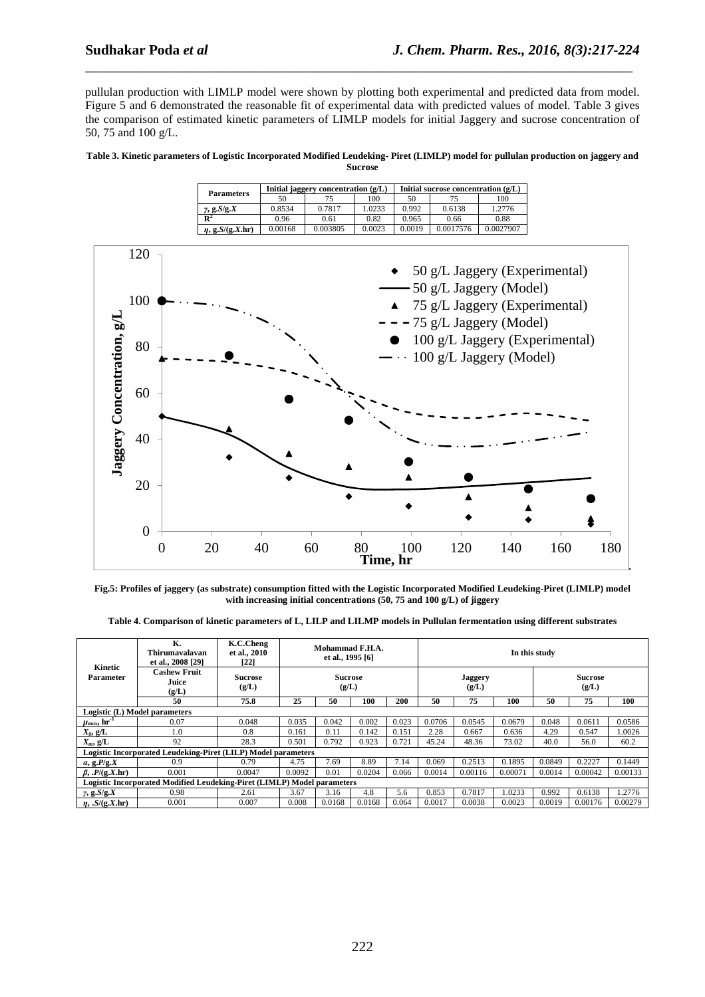pullulan production with LIMLP model were shown by plotting both experimental and predicted data from model. Figure 5 and 6 demonstrated the reasonable fit of experimental data with predicted values of model. Table 3 gives the comparison of estimated kinetic parameters of LIMLP models for initial Jaggery and sucrose concentration of 50, 75 and 100 g/L.

\_\_\_\_\_\_\_\_\_\_\_\_\_\_\_\_\_\_\_\_\_\_\_\_\_\_\_\_\_\_\_\_\_\_\_\_\_\_\_\_\_\_\_\_\_\_\_\_\_\_\_\_\_\_\_\_\_\_\_\_\_\_\_\_\_\_\_\_\_\_\_\_\_\_\_\_\_

**Table 3. Kinetic parameters of Logistic Incorporated Modified Leudeking- Piret (LIMLP) model for pullulan production on jaggery and Sucrose** 

|                       |         | Initial jaggery concentration $(g/L)$ |        | Initial sucrose concentration $(g/L)$ |           |           |  |  |
|-----------------------|---------|---------------------------------------|--------|---------------------------------------|-----------|-----------|--|--|
| <b>Parameters</b>     | 50      | 75                                    | 100    | 50                                    |           | 100       |  |  |
| $\gamma$ , g. $S/g.X$ | 0.8534  | 0.7817                                | 1.0233 | 0.992                                 | 0.6138    | 1.2776    |  |  |
| $\mathbf{R}^2$        | 0.96    | 0.61                                  | 0.82   | 0.965                                 | 0.66      | 0.88      |  |  |
| $\eta$ , g.S/(g.X.hr) | 0.00168 | 0.003805                              | 0.0023 | 0.0019                                | 0.0017576 | 0.0027907 |  |  |



**Fig.5: Profiles of jaggery (as substrate) consumption fitted with the Logistic Incorporated Modified Leudeking-Piret (LIMLP) model with increasing initial concentrations (50, 75 and 100 g/L) of jiggery** 

**Table 4. Comparison of kinetic parameters of L, LILP and LILMP models in Pullulan fermentation using different substrates** 

|                                                                         | К.<br>Thirumavalavan<br>et al., 2008 [29]                            | K.C.Cheng<br>et al., 2010<br>[22] | Mohammad F.H.A.<br>et al., 1995 [6]<br><b>Sucrose</b><br>(g/L) |        |        |       | In this study           |         |         |                         |         |         |
|-------------------------------------------------------------------------|----------------------------------------------------------------------|-----------------------------------|----------------------------------------------------------------|--------|--------|-------|-------------------------|---------|---------|-------------------------|---------|---------|
| Kinetic<br>Parameter                                                    | <b>Cashew Fruit</b><br>Juice<br>(g/L)                                | <b>Sucrose</b><br>(g/L)           |                                                                |        |        |       | <b>Jaggery</b><br>(g/L) |         |         | <b>Sucrose</b><br>(g/L) |         |         |
|                                                                         | 50                                                                   | 75.8                              | 25                                                             | 50     | 100    | 200   | 50                      | 75      | 100     | 50                      | 75      | 100     |
|                                                                         | Logistic (L) Model parameters                                        |                                   |                                                                |        |        |       |                         |         |         |                         |         |         |
| $\mu_{max}$ , $\text{hr}^{-1}$                                          | 0.07                                                                 | 0.048                             | 0.035                                                          | 0.042  | 0.002  | 0.023 | 0.0706                  | 0.0545  | 0.0679  | 0.048                   | 0.0611  | 0.0586  |
| $X_0$ , g/L                                                             | 1.0                                                                  | 0.8                               | 0.161                                                          | 0.11   | 0.142  | 0.151 | 2.28                    | 0.667   | 0.636   | 4.29                    | 0.547   | 1.0026  |
| $X_m$ , g/L                                                             | 92                                                                   | 28.3                              | 0.501                                                          | 0.792  | 0.923  | 0.721 | 45.24                   | 48.36   | 73.02   | 40.0                    | 56.0    | 60.2    |
|                                                                         | <b>Logistic Incorporated Leudeking-Piret (LILP) Model parameters</b> |                                   |                                                                |        |        |       |                         |         |         |                         |         |         |
| $\alpha$ , g.P/g.X                                                      | 0.9                                                                  | 0.79                              | 4.75                                                           | 7.69   | 8.89   | 7.14  | 0.069                   | 0.2513  | 0.1895  | 0.0849                  | 0.2227  | 0.1449  |
| $\beta$ , $P/(q$ , X, hr)                                               | 0.001                                                                | 0.0047                            | 0.0092                                                         | 0.01   | 0.0204 | 0.066 | 0.0014                  | 0.00116 | 0.00071 | 0.0014                  | 0.00042 | 0.00133 |
| Logistic Incorporated Modified Leudeking-Piret (LIMLP) Model parameters |                                                                      |                                   |                                                                |        |        |       |                         |         |         |                         |         |         |
| $\gamma$ , g. $S/g.X$                                                   | 0.98                                                                 | 2.61                              | 3.67                                                           | 3.16   | 4.8    | 5.6   | 0.853                   | 0.7817  | 1.0233  | 0.992                   | 0.6138  | 1.2776  |
| $\eta$ , $S/(g.X.hr)$                                                   | 0.001                                                                | 0.007                             | 0.008                                                          | 0.0168 | 0.0168 | 0.064 | 0.0017                  | 0.0038  | 0.0023  | 0.0019                  | 0.00176 | 0.00279 |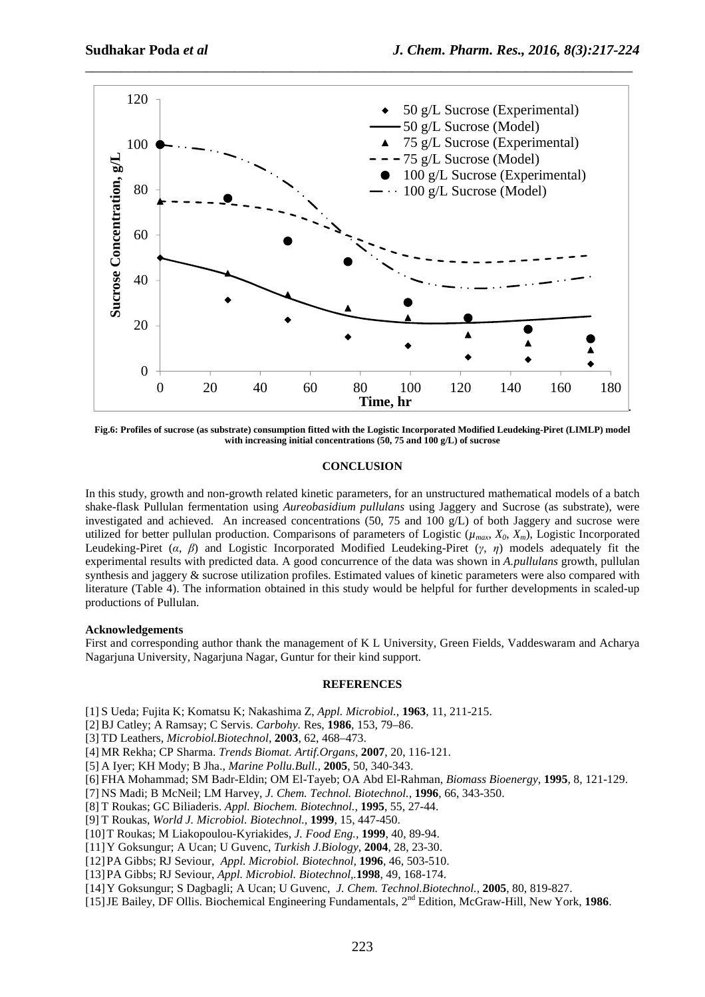

**Fig.6: Profiles of sucrose (as substrate) consumption fitted with the Logistic Incorporated Modified Leudeking-Piret (LIMLP) model with increasing initial concentrations (50, 75 and 100 g/L) of sucrose** 

## **CONCLUSION**

In this study, growth and non-growth related kinetic parameters, for an unstructured mathematical models of a batch shake-flask Pullulan fermentation using *Aureobasidium pullulans* using Jaggery and Sucrose (as substrate), were investigated and achieved. An increased concentrations (50, 75 and 100 g/L) of both Jaggery and sucrose were utilized for better pullulan production. Comparisons of parameters of Logistic ( $\mu_{max}$ ,  $X_0$ ,  $X_m$ ), Logistic Incorporated Leudeking-Piret (*α*, *β*) and Logistic Incorporated Modified Leudeking-Piret (*γ*, *η*) models adequately fit the experimental results with predicted data. A good concurrence of the data was shown in *A.pullulans* growth, pullulan synthesis and jaggery & sucrose utilization profiles. Estimated values of kinetic parameters were also compared with literature (Table 4). The information obtained in this study would be helpful for further developments in scaled-up productions of Pullulan.

## **Acknowledgements**

First and corresponding author thank the management of K L University, Green Fields, Vaddeswaram and Acharya Nagarjuna University, Nagarjuna Nagar, Guntur for their kind support.

#### **REFERENCES**

[1] S Ueda; Fujita K; Komatsu K; Nakashima Z, *Appl. Microbiol.*, **1963**, 11, 211-215.

- [2] BJ Catley; A Ramsay; C Servis. *Carbohy.* Res, **1986**, 153, 79–86.
- [3] TD Leathers, *Microbiol.Biotechnol*, **2003**, 62, 468–473.
- [4] MR Rekha; CP Sharma. *Trends Biomat. Artif.Organs*, **2007**, 20, 116-121.
- [5] A Iyer; KH Mody; B Jha., *Marine Pollu.Bull.,* **2005**, 50, 340-343.
- [6] FHA Mohammad; SM Badr-Eldin; OM El-Tayeb; OA Abd El-Rahman, *Biomass Bioenergy*, **1995**, 8, 121-129.
- [7] NS Madi; B McNeil; LM Harvey, *J. Chem. Technol. Biotechnol.*, **1996**, 66, 343-350.
- [8] T Roukas; GC Biliaderis. *Appl. Biochem. Biotechnol.,* **1995**, 55, 27-44.
- [9] T Roukas, *World J. Microbiol. Biotechnol.,* **1999**, 15, 447-450.
- [10]T Roukas; M Liakopoulou-Kyriakides, *J. Food Eng.,* **1999**, 40, 89-94.
- [11]Y Goksungur; A Ucan; U Guvenc, *Turkish J.Biology*, **2004**, 28, 23-30.
- [12]PA Gibbs; RJ Seviour, *Appl. Microbiol. Biotechnol,* **1996**, 46, 503-510.
- [13]PA Gibbs; RJ Seviour, *Appl. Microbiol. Biotechnol,.***1998**, 49, 168-174.
- [14]Y Goksungur; S Dagbagli; A Ucan; U Guvenc, *J. Chem. Technol.Biotechnol.,* **2005**, 80, 819-827.
- [15]JE Bailey, DF Ollis. Biochemical Engineering Fundamentals, 2nd Edition, McGraw-Hill, New York, **1986**.